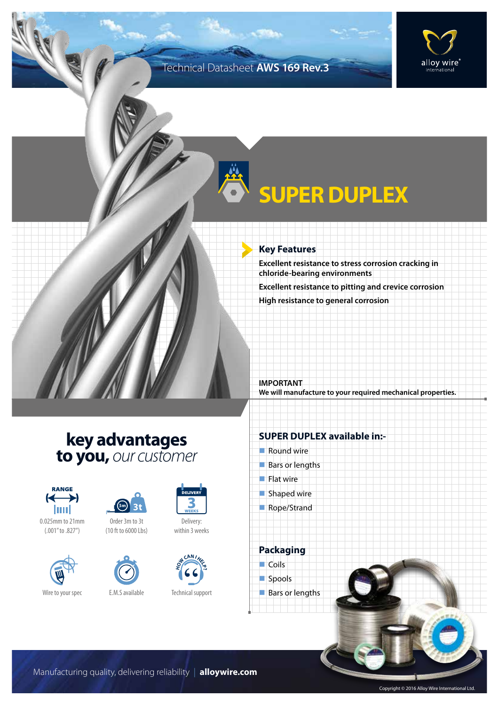### Technical Datasheet **AWS 169 Rev.3**



# **SUPER DUPLEX**

#### **Key Features**

**Excellent resistance to stress corrosion cracking in chloride-bearing environments Excellent resistance to pitting and crevice corrosion High resistance to general corrosion**

**IMPORTANT We will manufacture to your required mechanical properties.**

### **key advantages to you,** *our customer*



0.025mm to 21mm (.001" to .827")







Delivery: within 3 weeks



Technical support

### **SUPER DUPLEX available in:-**

- $\blacksquare$  Round wire
- $Bars$  or lengths
- $\blacksquare$  Flat wire
- $\blacksquare$  Shaped wire
- Rope/Strand

**Packaging**  $\Box$  Coils spools  $\blacksquare$  Bars or lengths

Manufacturing quality, delivering reliability | **alloywire.com**

Copyright © 2016 Alloy Wire International Ltd.